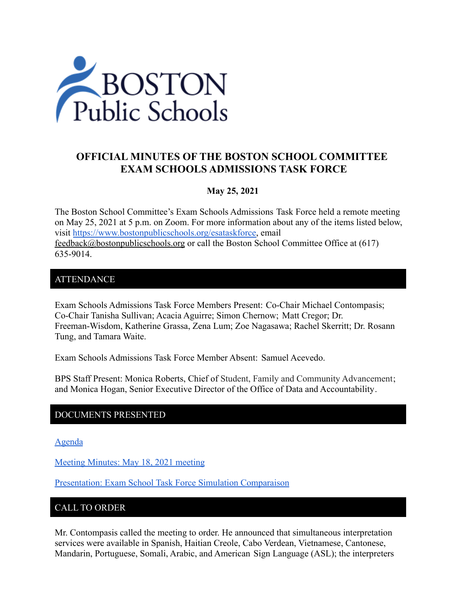

# **OFFICIAL MINUTES OF THE BOSTON SCHOOL COMMITTEE EXAM SCHOOLS ADMISSIONS TASK FORCE**

#### **May 25, 2021**

The Boston School Committee's Exam Schools Admissions Task Force held a remote meeting on May 25, 2021 at 5 p.m. on Zoom. For more information about any of the items listed below, visit [https://www.bostonpublicschools.org/esataskforce,](https://www.bostonpublicschools.org/esataskforce) email [feedback@bostonpublicschools.org](mailto:feedback@bostonpublicschools.org) or call the Boston School Committee Office at (617) 635-9014.

#### ATTENDANCE

Exam Schools Admissions Task Force Members Present: Co-Chair Michael Contompasis; Co-Chair Tanisha Sullivan; Acacia Aguirre; Simon Chernow; Matt Cregor; Dr. Freeman-Wisdom, Katherine Grassa, Zena Lum; Zoe Nagasawa; Rachel Skerritt; Dr. Rosann Tung, and Tamara Waite.

Exam Schools Admissions Task Force Member Absent: Samuel Acevedo.

BPS Staff Present: Monica Roberts, Chief of Student, Family and Community Advancement; and Monica Hogan, Senior Executive Director of the Office of Data and Accountability.

### DOCUMENTS PRESENTED

[Agenda](https://www.boston.gov/public-notices/15088706)

[Meeting Minutes: May 18, 2021 meeting](https://www.bostonpublicschools.org/cms/lib/MA01906464/Centricity/Domain/2931/Minutes%205%2018%2021%20Exam%20School%20Admission%20TF%20Meeting.docx%20.pdf)

[Presentation: Exam School Task Force Simulation Comparaison](https://www.bostonpublicschools.org/cms/lib/MA01906464/Centricity/Domain/2931/Exam%20School%20Task%20Force%20Follow%20Up%20%205%2025%2021.pdf)

#### CALL TO ORDER

Mr. Contompasis called the meeting to order. He announced that simultaneous interpretation services were available in Spanish, Haitian Creole, Cabo Verdean, Vietnamese, Cantonese, Mandarin, Portuguese, Somali, Arabic, and American Sign Language (ASL); the interpreters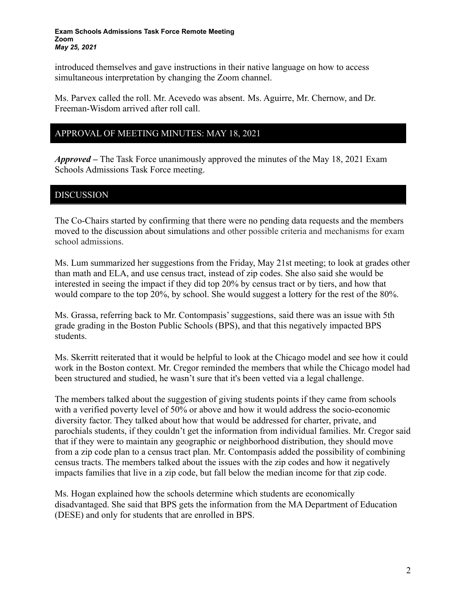#### **Exam Schools Admissions Task Force Remote Meeting Zoom** *May 25, 2021*

introduced themselves and gave instructions in their native language on how to access simultaneous interpretation by changing the Zoom channel.

Ms. Parvex called the roll. Mr. Acevedo was absent. Ms. Aguirre, Mr. Chernow, and Dr. Freeman-Wisdom arrived after roll call.

### APPROVAL OF MEETING MINUTES: MAY 18, 2021

*Approved –* The Task Force unanimously approved the minutes of the May 18, 2021 Exam Schools Admissions Task Force meeting.

#### DISCUSSION

The Co-Chairs started by confirming that there were no pending data requests and the members moved to the discussion about simulations and other possible criteria and mechanisms for exam school admissions.

Ms. Lum summarized her suggestions from the Friday, May 21st meeting; to look at grades other than math and ELA, and use census tract, instead of zip codes. She also said she would be interested in seeing the impact if they did top 20% by census tract or by tiers, and how that would compare to the top 20%, by school. She would suggest a lottery for the rest of the 80%.

Ms. Grassa, referring back to Mr. Contompasis' suggestions, said there was an issue with 5th grade grading in the Boston Public Schools (BPS), and that this negatively impacted BPS students.

Ms. Skerritt reiterated that it would be helpful to look at the Chicago model and see how it could work in the Boston context. Mr. Cregor reminded the members that while the Chicago model had been structured and studied, he wasn't sure that it's been vetted via a legal challenge.

The members talked about the suggestion of giving students points if they came from schools with a verified poverty level of 50% or above and how it would address the socio-economic diversity factor. They talked about how that would be addressed for charter, private, and parochials students, if they couldn't get the information from individual families. Mr. Cregor said that if they were to maintain any geographic or neighborhood distribution, they should move from a zip code plan to a census tract plan. Mr. Contompasis added the possibility of combining census tracts. The members talked about the issues with the zip codes and how it negatively impacts families that live in a zip code, but fall below the median income for that zip code.

Ms. Hogan explained how the schools determine which students are economically disadvantaged. She said that BPS gets the information from the MA Department of Education (DESE) and only for students that are enrolled in BPS.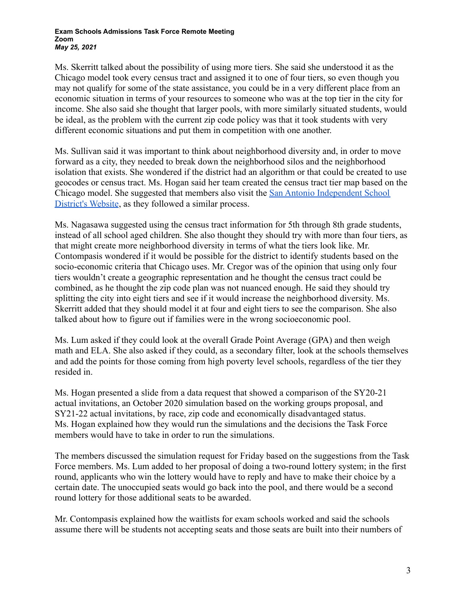#### **Exam Schools Admissions Task Force Remote Meeting Zoom** *May 25, 2021*

Ms. Skerritt talked about the possibility of using more tiers. She said she understood it as the Chicago model took every census tract and assigned it to one of four tiers, so even though you may not qualify for some of the state assistance, you could be in a very different place from an economic situation in terms of your resources to someone who was at the top tier in the city for income. She also said she thought that larger pools, with more similarly situated students, would be ideal, as the problem with the current zip code policy was that it took students with very different economic situations and put them in competition with one another.

Ms. Sullivan said it was important to think about neighborhood diversity and, in order to move forward as a city, they needed to break down the neighborhood silos and the neighborhood isolation that exists. She wondered if the district had an algorithm or that could be created to use geocodes or census tract. Ms. Hogan said her team created the census tract tier map based on the Chicago model. She suggested that members also visit the [San Antonio Independent School](https://www.saisd.net/page/innovation-socioeconomicblocks) [District's Website](https://www.saisd.net/page/innovation-socioeconomicblocks), as they followed a similar process.

Ms. Nagasawa suggested using the census tract information for 5th through 8th grade students, instead of all school aged children. She also thought they should try with more than four tiers, as that might create more neighborhood diversity in terms of what the tiers look like. Mr. Contompasis wondered if it would be possible for the district to identify students based on the socio-economic criteria that Chicago uses. Mr. Cregor was of the opinion that using only four tiers wouldn't create a geographic representation and he thought the census tract could be combined, as he thought the zip code plan was not nuanced enough. He said they should try splitting the city into eight tiers and see if it would increase the neighborhood diversity. Ms. Skerritt added that they should model it at four and eight tiers to see the comparison. She also talked about how to figure out if families were in the wrong socioeconomic pool.

Ms. Lum asked if they could look at the overall Grade Point Average (GPA) and then weigh math and ELA. She also asked if they could, as a secondary filter, look at the schools themselves and add the points for those coming from high poverty level schools, regardless of the tier they resided in.

Ms. Hogan presented a slide from a data request that showed a comparison of the SY20-21 actual invitations, an October 2020 simulation based on the working groups proposal, and SY21-22 actual invitations, by race, zip code and economically disadvantaged status. Ms. Hogan explained how they would run the simulations and the decisions the Task Force members would have to take in order to run the simulations.

The members discussed the simulation request for Friday based on the suggestions from the Task Force members. Ms. Lum added to her proposal of doing a two-round lottery system; in the first round, applicants who win the lottery would have to reply and have to make their choice by a certain date. The unoccupied seats would go back into the pool, and there would be a second round lottery for those additional seats to be awarded.

Mr. Contompasis explained how the waitlists for exam schools worked and said the schools assume there will be students not accepting seats and those seats are built into their numbers of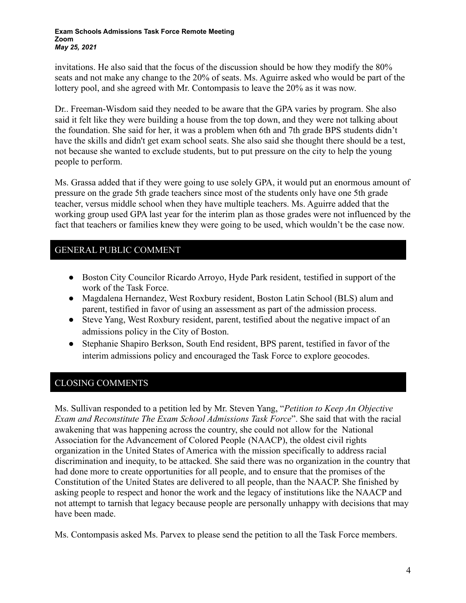invitations. He also said that the focus of the discussion should be how they modify the 80% seats and not make any change to the 20% of seats. Ms. Aguirre asked who would be part of the lottery pool, and she agreed with Mr. Contompasis to leave the 20% as it was now.

Dr.. Freeman-Wisdom said they needed to be aware that the GPA varies by program. She also said it felt like they were building a house from the top down, and they were not talking about the foundation. She said for her, it was a problem when 6th and 7th grade BPS students didn't have the skills and didn't get exam school seats. She also said she thought there should be a test, not because she wanted to exclude students, but to put pressure on the city to help the young people to perform.

Ms. Grassa added that if they were going to use solely GPA, it would put an enormous amount of pressure on the grade 5th grade teachers since most of the students only have one 5th grade teacher, versus middle school when they have multiple teachers. Ms. Aguirre added that the working group used GPA last year for the interim plan as those grades were not influenced by the fact that teachers or families knew they were going to be used, which wouldn't be the case now.

## GENERAL PUBLIC COMMENT

- Boston City Councilor Ricardo Arroyo, Hyde Park resident, testified in support of the work of the Task Force.
- Magdalena Hernandez, West Roxbury resident, Boston Latin School (BLS) alum and parent, testified in favor of using an assessment as part of the admission process.
- Steve Yang, West Roxbury resident, parent, testified about the negative impact of an admissions policy in the City of Boston.
- Stephanie Shapiro Berkson, South End resident, BPS parent, testified in favor of the interim admissions policy and encouraged the Task Force to explore geocodes.

# CLOSING COMMENTS

Ms. Sullivan responded to a petition led by Mr. Steven Yang, "*Petition to Keep An Objective Exam and Reconstitute The Exam School Admissions Task Force*". She said that with the racial awakening that was happening across the country, she could not allow for the National Association for the Advancement of Colored People (NAACP), the oldest civil rights organization in the United States of America with the mission specifically to address racial discrimination and inequity, to be attacked. She said there was no organization in the country that had done more to create opportunities for all people, and to ensure that the promises of the Constitution of the United States are delivered to all people, than the NAACP. She finished by asking people to respect and honor the work and the legacy of institutions like the NAACP and not attempt to tarnish that legacy because people are personally unhappy with decisions that may have been made.

Ms. Contompasis asked Ms. Parvex to please send the petition to all the Task Force members.